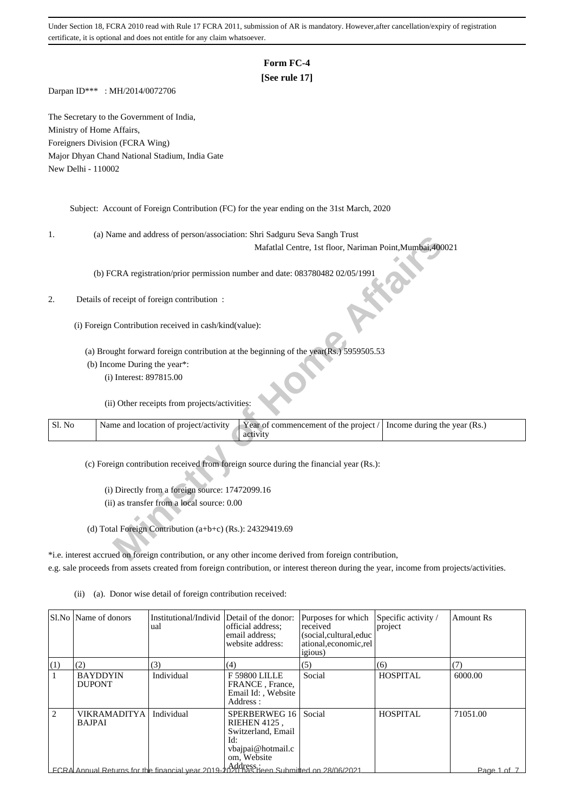# **Form FC-4**

## **[See rule 17]**

Darpan ID\*\*\* : MH/2014/0072706

The Secretary to the Government of India, Ministry of Home Affairs, Foreigners Division (FCRA Wing) Major Dhyan Chand National Stadium, India Gate New Delhi - 110002

Subject: Account of Foreign Contribution (FC) for the year ending on the 31st March, 2020

1. (a) Name and address of person/association: Shri Sadguru Seva Sangh Trust

## 2. Details of receipt of foreign contribution :

| ı.     | (a) ivalue and address of person/association. Shift Sauguru Seva Salign Trust                          |
|--------|--------------------------------------------------------------------------------------------------------|
|        | Mafatlal Centre, 1st floor, Nariman Point, Mumbai, 400021                                              |
|        | (b) FCRA registration/prior permission number and date: 083780482 02/05/1991                           |
|        |                                                                                                        |
| 2.     | Details of receipt of foreign contribution :                                                           |
|        | (i) Foreign Contribution received in cash/kind(value):                                                 |
|        |                                                                                                        |
|        | (a) Brought forward foreign contribution at the beginning of the year(Rs.) 5959505.53                  |
|        | (b) Income During the year*:                                                                           |
|        | (i) Interest: 897815.00                                                                                |
|        |                                                                                                        |
|        | (ii) Other receipts from projects/activities:                                                          |
| Sl. No | Name and location of project/activity<br>Year of commencement of the project /                         |
|        | Income during the year (Rs.)<br>activity                                                               |
|        |                                                                                                        |
|        | (c) Foreign contribution received from foreign source during the financial year (Rs.):                 |
|        |                                                                                                        |
|        | (i) Directly from a foreign source: 17472099.16                                                        |
|        | (ii) as transfer from a local source: 0.00                                                             |
|        |                                                                                                        |
|        | (d) Total Foreign Contribution (a+b+c) (Rs.): 24329419.69                                              |
|        |                                                                                                        |
|        | *i.e. interest accrued on foreign contribution, or any other income derived from foreign contribution, |
|        |                                                                                                        |

\*i.e. interest accrued on foreign contribution, or any other income derived from foreign contribution, e.g. sale proceeds from assets created from foreign contribution, or interest thereon during the year, income from projects/activities.

|                               | SLNo Dame of donors                  | Institutional/Individ<br>ual                                                                            | Detail of the donor:<br>official address;<br>email address:<br>website address:                       | Purposes for which<br>received<br>(social, cultural, educ<br>ational, economic, rel<br><i>igious</i> ) | Specific activity /<br>project | <b>Amount Rs</b> |
|-------------------------------|--------------------------------------|---------------------------------------------------------------------------------------------------------|-------------------------------------------------------------------------------------------------------|--------------------------------------------------------------------------------------------------------|--------------------------------|------------------|
| (1)                           | (2)                                  | (3)                                                                                                     | (4)                                                                                                   | (5)                                                                                                    | (6)                            | (7)              |
|                               | <b>BAYDDYIN</b><br><b>DUPONT</b>     | Individual                                                                                              | <b>F 59800 LILLE</b><br>FRANCE, France,<br>Email Id: . Website<br>Address:                            | Social                                                                                                 | <b>HOSPITAL</b>                | 6000.00          |
| $\mathfrak{D}_{\mathfrak{p}}$ | <b>VIKRAMADITYA</b><br><b>BAJPAI</b> | Individual                                                                                              | SPERBERWEG 16<br><b>RIEHEN 4125,</b><br>Switzerland, Email<br>Id:<br>vbajpai@hotmail.c<br>om, Website | Social                                                                                                 | <b>HOSPITAL</b>                | 71051.00         |
|                               |                                      | Landress.it <br>  ECRA Annual Returns for the financial year 2019-2020 has been Submitted on 28/06/2021 |                                                                                                       |                                                                                                        |                                | Page 1 of 7      |

(ii) (a). Donor wise detail of foreign contribution received: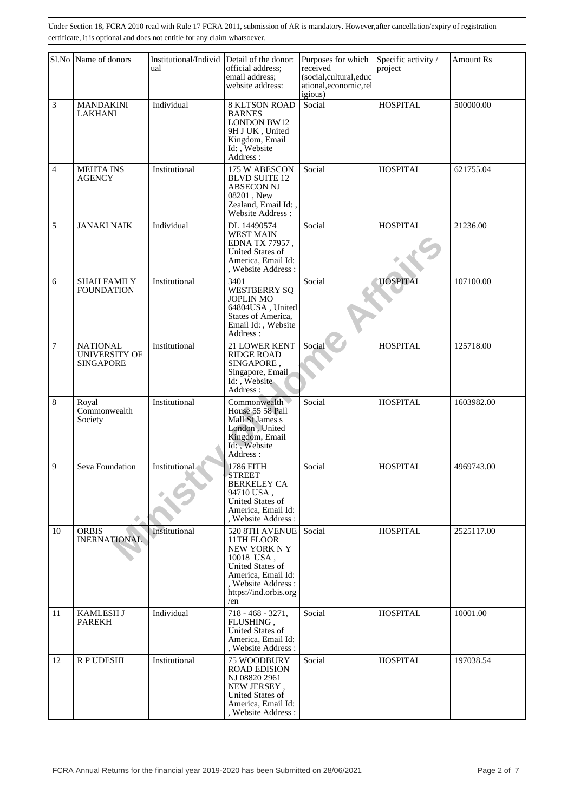|                | Sl.No Name of donors                                        | Institutional/Individ<br>ual | Detail of the donor:<br>official address:<br>email address:<br>website address:                                                                                  | Purposes for which<br>received<br>(social,cultural,educ<br>ational, economic, rel<br>igious) | Specific activity /<br>project | <b>Amount Rs</b> |
|----------------|-------------------------------------------------------------|------------------------------|------------------------------------------------------------------------------------------------------------------------------------------------------------------|----------------------------------------------------------------------------------------------|--------------------------------|------------------|
| 3              | <b>MANDAKINI</b><br>LAKHANI                                 | Individual                   | <b>8 KLTSON ROAD</b><br><b>BARNES</b><br><b>LONDON BW12</b><br>9H J UK, United<br>Kingdom, Email<br>Id: , Website<br>Address:                                    | Social                                                                                       | <b>HOSPITAL</b>                | 500000.00        |
| 4              | <b>MEHTA INS</b><br><b>AGENCY</b>                           | Institutional                | 175 W ABESCON<br><b>BLVD SUITE 12</b><br><b>ABSECON NJ</b><br>08201, New<br>Zealand, Email Id:,<br>Website Address:                                              | Social                                                                                       | <b>HOSPITAL</b>                | 621755.04        |
| 5              | <b>JANAKI NAIK</b>                                          | Individual                   | DL 14490574<br><b>WEST MAIN</b><br>EDNA TX 77957,<br>United States of<br>America, Email Id:<br>, Website Address:                                                | Social                                                                                       | <b>HOSPITAL</b>                | 21236.00         |
| 6              | <b>SHAH FAMILY</b><br><b>FOUNDATION</b>                     | Institutional                | 3401<br><b>WESTBERRY SQ</b><br><b>JOPLIN MO</b><br>64804USA, United<br>States of America,<br>Email Id:, Website<br>Address:                                      | Social                                                                                       | <b>HOSPITAL</b>                | 107100.00        |
| $\overline{7}$ | <b>NATIONAL</b><br><b>UNIVERSITY OF</b><br><b>SINGAPORE</b> | Institutional                | 21 LOWER KENT<br><b>RIDGE ROAD</b><br>SINGAPORE,<br>Singapore, Email<br>Id: Website<br>Address:                                                                  | Social                                                                                       | <b>HOSPITAL</b>                | 125718.00        |
| 8              | Royal<br>Commonwealth<br>Society                            | Institutional                | Commonwealth<br>House 55 58 Pall<br>Mall St James s<br>London, United<br>Kingdom, Email<br>Id: Website<br>Address:                                               | Social                                                                                       | <b>HOSPITAL</b>                | 1603982.00       |
| 9              | Seva Foundation                                             | Institutional                | 1786 FITH<br><b>STREET</b><br><b>BERKELEY CA</b><br>94710 USA,<br>United States of<br>America, Email Id:<br>. Website Address:                                   | Social                                                                                       | <b>HOSPITAL</b>                | 4969743.00       |
| 10             | <b>ORBIS</b><br><b>INERNATIONAL</b>                         | Institutional                | 520 8TH AVENUE<br>11TH FLOOR<br>NEW YORK NY<br>10018 USA,<br><b>United States of</b><br>America, Email Id:<br>, Website Address:<br>https://ind.orbis.org<br>/en | Social                                                                                       | <b>HOSPITAL</b>                | 2525117.00       |
| 11             | <b>KAMLESH J</b><br><b>PAREKH</b>                           | Individual                   | $718 - 468 - 3271,$<br>FLUSHING,<br>United States of<br>America, Email Id:<br>, Website Address:                                                                 | Social                                                                                       | <b>HOSPITAL</b>                | 10001.00         |
| 12             | R P UDESHI                                                  | Institutional                | 75 WOODBURY<br><b>ROAD EDISION</b><br>NJ 08820 2961<br>NEW JERSEY,<br>United States of<br>America, Email Id:<br>, Website Address:                               | Social                                                                                       | <b>HOSPITAL</b>                | 197038.54        |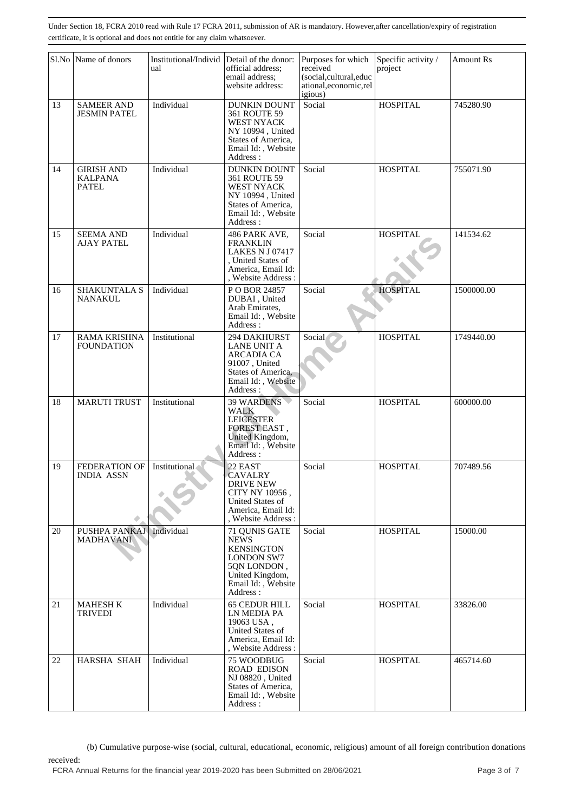|    | Sl.No Name of donors                                | Institutional/Individ<br>ual | Detail of the donor:<br>official address;<br>email address;<br>website address:                                                            | Purposes for which<br>received<br>(social,cultural,educ<br>ational,economic,rel<br>igious) | Specific activity /<br>project | <b>Amount Rs</b> |
|----|-----------------------------------------------------|------------------------------|--------------------------------------------------------------------------------------------------------------------------------------------|--------------------------------------------------------------------------------------------|--------------------------------|------------------|
| 13 | <b>SAMEER AND</b><br><b>JESMIN PATEL</b>            | Individual                   | <b>DUNKIN DOUNT</b><br>361 ROUTE 59<br><b>WEST NYACK</b><br>NY 10994, United<br>States of America,<br>Email Id:, Website<br>Address:       | Social                                                                                     | <b>HOSPITAL</b>                | 745280.90        |
| 14 | <b>GIRISH AND</b><br><b>KALPANA</b><br><b>PATEL</b> | Individual                   | <b>DUNKIN DOUNT</b><br>361 ROUTE 59<br>WEST NYACK<br>NY 10994, United<br>States of America,<br>Email Id:, Website<br>Address:              | Social                                                                                     | <b>HOSPITAL</b>                | 755071.90        |
| 15 | <b>SEEMA AND</b><br><b>AJAY PATEL</b>               | Individual                   | 486 PARK AVE,<br><b>FRANKLIN</b><br><b>LAKES N J 07417</b><br>, United States of<br>America, Email Id:<br>, Website Address:               | Social                                                                                     | <b>HOSPITAL</b>                | 141534.62        |
| 16 | SHAKUNTALA S<br>NANAKUL                             | Individual                   | PO BOR 24857<br>DUBAI, United<br>Arab Emirates,<br>Email Id:, Website<br>Address:                                                          | Social                                                                                     | <b>HOSPITAL</b>                | 1500000.00       |
| 17 | <b>RAMA KRISHNA</b><br>FOUNDATION                   | Institutional                | 294 DAKHURST<br><b>LANE UNIT A</b><br><b>ARCADIA CA</b><br>91007, United<br>States of America,<br>Email Id:, Website<br>Address:           | Social                                                                                     | <b>HOSPITAL</b>                | 1749440.00       |
| 18 | <b>MARUTI TRUST</b>                                 | Institutional                | <b>39 WARDENS</b><br>WALK<br><b>LEICESTER</b><br>FOREST EAST,<br>United Kingdom,<br>Email Id:, Website<br>Address:                         | Social                                                                                     | <b>HOSPITAL</b>                | 600000.00        |
| 19 | FEDERATION OF<br><b>INDIA ASSN</b>                  | Institutional                | 22 EAST<br><b>CAVALRY</b><br><b>DRIVE NEW</b><br>CITY NY 10956,<br>United States of<br>America, Email Id:<br>, Website Address :           | Social                                                                                     | <b>HOSPITAL</b>                | 707489.56        |
| 20 | PUSHPA PANKAJ<br><b>MADHAVANI</b>                   | Individual                   | 71 QUNIS GATE<br><b>NEWS</b><br><b>KENSINGTON</b><br><b>LONDON SW7</b><br>5QN LONDON,<br>United Kingdom,<br>Email Id:, Website<br>Address: | Social                                                                                     | <b>HOSPITAL</b>                | 15000.00         |
| 21 | <b>MAHESH K</b><br><b>TRIVEDI</b>                   | Individual                   | <b>65 CEDUR HILL</b><br>LN MEDIA PA<br>19063 USA,<br>United States of<br>America, Email Id:<br>, Website Address:                          | Social                                                                                     | <b>HOSPITAL</b>                | 33826.00         |
| 22 | HARSHA SHAH                                         | Individual                   | 75 WOODBUG<br><b>ROAD EDISON</b><br>NJ 08820, United<br>States of America,<br>Email Id:, Website<br>Address:                               | Social                                                                                     | <b>HOSPITAL</b>                | 465714.60        |

 (b) Cumulative purpose-wise (social, cultural, educational, economic, religious) amount of all foreign contribution donations received: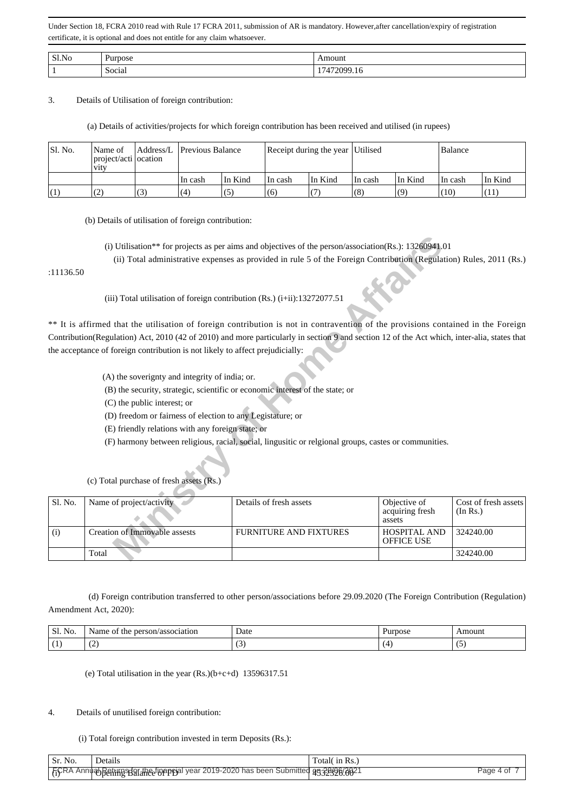| Sl.No | $\sqrt{ }$                               | moun.          |
|-------|------------------------------------------|----------------|
|       | $\sim$ $\sim$ $\sim$<br>$\sim$<br>Social | າດດເ<br>7. L O |

3. Details of Utilisation of foreign contribution:

(a) Details of activities/projects for which foreign contribution has been received and utilised (in rupees)

| ISI. No. | l Name of<br>  project/acti   ocation<br><b>V1tV</b> |     | Address/L Previous Balance |         | Receipt during the year Utilised |         |         |         | Balance |         |
|----------|------------------------------------------------------|-----|----------------------------|---------|----------------------------------|---------|---------|---------|---------|---------|
|          |                                                      |     | In cash                    | In Kind | In cash                          | In Kind | In cash | In Kind | In cash | In Kind |
|          | (2)                                                  | (3) | (4)                        | (5)     | (6)                              |         | (8)     | (9)     | (10)    | (11)    |

(b) Details of utilisation of foreign contribution:

- (A) the soverignty and integrity of india; or.
- (B) the security, strategic, scientific or economic interest of the state; or
- (C) the public interest; or

| :11136.50 | (i) Utilisation** for projects as per aims and objectives of the person/association(Rs.): $13260941.01$<br>(ii) Total administrative expenses as provided in rule 5 of the Foreign Contribution (Regulation) Rules, 2011 (Rs.) |                                                                                                       |                                           |                                  |  |  |  |  |
|-----------|--------------------------------------------------------------------------------------------------------------------------------------------------------------------------------------------------------------------------------|-------------------------------------------------------------------------------------------------------|-------------------------------------------|----------------------------------|--|--|--|--|
|           | (iii) Total utilisation of foreign contribution (Rs.) $(i+ii)$ : 13272077.51                                                                                                                                                   |                                                                                                       |                                           |                                  |  |  |  |  |
|           | ** It is affirmed that the utilisation of foreign contribution is not in contravention of the provisions contained in the Foreign                                                                                              |                                                                                                       |                                           |                                  |  |  |  |  |
|           | Contribution(Regulation) Act, 2010 (42 of 2010) and more particularly in section 9 and section 12 of the Act which, inter-alia, states that                                                                                    |                                                                                                       |                                           |                                  |  |  |  |  |
|           | the acceptance of foreign contribution is not likely to affect prejudicially:                                                                                                                                                  |                                                                                                       |                                           |                                  |  |  |  |  |
|           | (A) the soverignty and integrity of india; or.                                                                                                                                                                                 |                                                                                                       |                                           |                                  |  |  |  |  |
|           | (B) the security, strategic, scientific or economic interest of the state; or                                                                                                                                                  |                                                                                                       |                                           |                                  |  |  |  |  |
|           | (C) the public interest; or                                                                                                                                                                                                    |                                                                                                       |                                           |                                  |  |  |  |  |
|           | (D) freedom or fairness of election to any Legistature; or                                                                                                                                                                     |                                                                                                       |                                           |                                  |  |  |  |  |
|           | (E) friendly relations with any foreign state; or                                                                                                                                                                              |                                                                                                       |                                           |                                  |  |  |  |  |
|           |                                                                                                                                                                                                                                | (F) harmony between religious, racial, social, lingusitic or relgional groups, castes or communities. |                                           |                                  |  |  |  |  |
|           |                                                                                                                                                                                                                                |                                                                                                       |                                           |                                  |  |  |  |  |
|           | (c) Total purchase of fresh assets (Rs.)                                                                                                                                                                                       |                                                                                                       |                                           |                                  |  |  |  |  |
| Sl. No.   | Name of project/activity                                                                                                                                                                                                       | Details of fresh assets                                                                               | Objective of<br>acquiring fresh<br>assets | Cost of fresh assets<br>(In Rs.) |  |  |  |  |
| (i)       | Creation of Immovable assests                                                                                                                                                                                                  | <b>FURNITURE AND FIXTURES</b>                                                                         | <b>HOSPITAL AND</b><br><b>OFFICE USE</b>  | 324240.00                        |  |  |  |  |
|           | Total                                                                                                                                                                                                                          |                                                                                                       |                                           | 324240.00                        |  |  |  |  |
|           |                                                                                                                                                                                                                                |                                                                                                       |                                           |                                  |  |  |  |  |

 (d) Foreign contribution transferred to other person/associations before 29.09.2020 (The Foreign Contribution (Regulation) Amendment Act, 2020):

| Sl.<br>$\sim$<br>NO | ociation<br>- Nar<br>10000<br>$n\rho r$<br>.ne<br>$^{\rm O}$<br>me | Date<br>. | 7110SC | $\cdots$<br>\mour. |
|---------------------|--------------------------------------------------------------------|-----------|--------|--------------------|
| . .                 | $\tilde{\phantom{a}}$<br>$\sim$                                    |           |        | . .                |

(e) Total utilisation in the year (Rs.)(b+c+d) 13596317.51

### 4. Details of unutilised foreign contribution:

(i) Total foreign contribution invested in term Deposits (Rs.):

| Sr. No. | <b>Details</b>                                                                      | Total in Rs |           |
|---------|-------------------------------------------------------------------------------------|-------------|-----------|
|         | FiCRA AnnuabBeithigsbaraheefinenpoal year 2019-2020 has been Submitted 9533396/0021 |             | Page 4 of |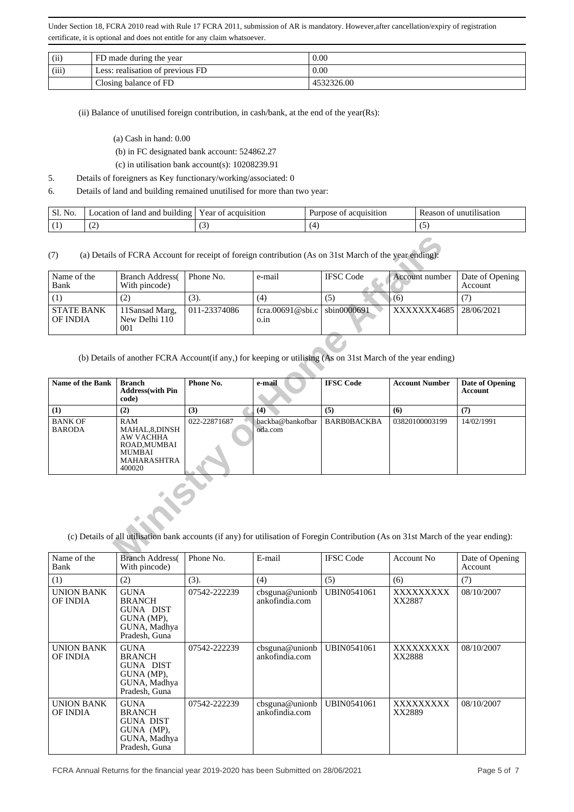| (ii)  | FD made during the year          | 0.00       |
|-------|----------------------------------|------------|
| (iii) | Less: realisation of previous FD | 0.00       |
|       | Closing balance of FD            | 4532326.00 |

(ii) Balance of unutilised foreign contribution, in cash/bank, at the end of the year(Rs):

- (a) Cash in hand: 0.00
- (b) in FC designated bank account: 524862.27
- (c) in utilisation bank account(s): 10208239.91
- 5. Details of foreigners as Key functionary/working/associated: 0
- 6. Details of land and building remained unutilised for more than two year:

| Sl. No. | land<br>and<br>building<br>.ocation<br>ΩŤ | vear of<br>acquisition | acquisition<br>Purpose<br>ОŤ | 11111111<br>111sat1on<br>Reason<br>$^{\prime}$ |
|---------|-------------------------------------------|------------------------|------------------------------|------------------------------------------------|
|         | $\sqrt{2}$                                | $\sim$                 |                              |                                                |

| Name of the<br>Bank           | <b>Branch Address</b><br>With pincode)  | Phone No.    | e-mail                                 | <b>IFSC</b> Code | Account number | Date of Opening<br>Account |
|-------------------------------|-----------------------------------------|--------------|----------------------------------------|------------------|----------------|----------------------------|
|                               |                                         | (3).         | (4)                                    | (5)              | (6)            |                            |
| <b>STATE BANK</b><br>OF INDIA | 11 Sansad Marg,<br>New Delhi 110<br>001 | 011-23374086 | fcra.00691@sbi.c   sbin0000691<br>0.1n |                  | XXXXXXX4685    | 28/06/2021                 |

(b) Details of another FCRA Account(if any,) for keeping or utilising (As on 31st March of the year ending)

| Name of the<br>Bank             | <b>Branch Address</b><br>With pincode)                                                                             | Phone No.    | e-mail                                                                                                                               | <b>IFSC</b> Code   | Account number        | Date of Opening<br>Account |
|---------------------------------|--------------------------------------------------------------------------------------------------------------------|--------------|--------------------------------------------------------------------------------------------------------------------------------------|--------------------|-----------------------|----------------------------|
| (1)                             | (2)                                                                                                                | $(3)$ .      | (4)                                                                                                                                  | (5)                | (6)                   | (7)                        |
| <b>STATE BANK</b><br>OF INDIA   | 11Sansad Marg,<br>New Delhi 110<br>001                                                                             | 011-23374086 | fcra.00691@sbi.c<br>o.in                                                                                                             | sbin0000691        | XXXXXX4685            | 28/06/2021                 |
| Name of the Bank                | <b>Branch</b>                                                                                                      | Phone No.    | (b) Details of another FCRA Account(if any,) for keeping or utilising (As on 31st March of the year ending)<br>e-mail                | <b>IFSC Code</b>   | <b>Account Number</b> | <b>Date of Opening</b>     |
|                                 | <b>Address</b> (with Pin<br>code)                                                                                  |              |                                                                                                                                      |                    |                       | <b>Account</b>             |
| (1)                             | (2)                                                                                                                | (3)          | (4)                                                                                                                                  | (5)                | (6)                   | (7)                        |
| <b>BANK OF</b><br><b>BARODA</b> | <b>RAM</b><br>MAHAL, 8, DINSH<br><b>AW VACHHA</b><br>ROAD, MUMBAI<br><b>MUMBAI</b><br><b>MAHARASHTRA</b><br>400020 | 022-22871687 | backba@bankofbar<br>oda.com                                                                                                          | <b>BARBOBACKBA</b> | 03820100003199        | 14/02/1991                 |
|                                 |                                                                                                                    |              |                                                                                                                                      |                    |                       |                            |
|                                 |                                                                                                                    |              |                                                                                                                                      |                    |                       |                            |
| Name of the                     | <b>Branch Address</b>                                                                                              |              | (c) Details of all utilisation bank accounts (if any) for utilisation of Foregin Contribution (As on 31st March of the year ending): | <b>IFSC</b> Code   |                       |                            |

| Name of the<br>Bank           | <b>Branch Address</b><br>With pincode)                                                          | Phone No.    | E-mail                           | <b>IFSC Code</b>   | Account No.         | Date of Opening<br>Account |
|-------------------------------|-------------------------------------------------------------------------------------------------|--------------|----------------------------------|--------------------|---------------------|----------------------------|
| (1)                           | (2)                                                                                             | (3).         | (4)                              | (5)                | (6)                 | (7)                        |
| <b>UNION BANK</b><br>OF INDIA | <b>GUNA</b><br><b>BRANCH</b><br>GUNA DIST<br>GUNA (MP),<br>GUNA, Madhya<br>Pradesh, Guna        | 07542-222239 | cbsguna@unionb<br>ankofindia.com | UBIN0541061        | XXXXXXXXX<br>XX2887 | 08/10/2007                 |
| UNION BANK<br>OF INDIA        | <b>GUNA</b><br><b>BRANCH</b><br><b>GUNA DIST</b><br>GUNA (MP).<br>GUNA, Madhya<br>Pradesh, Guna | 07542-222239 | cbsguna@unionb<br>ankofindia.com | <b>UBIN0541061</b> | XXXXXXXXX<br>XX2888 | 08/10/2007                 |
| <b>UNION BANK</b><br>OF INDIA | <b>GUNA</b><br><b>BRANCH</b><br><b>GUNA DIST</b><br>GUNA (MP),<br>GUNA, Madhya<br>Pradesh, Guna | 07542-222239 | cbsguna@unionb<br>ankofindia.com | <b>UBIN0541061</b> | XXXXXXXXX<br>XX2889 | 08/10/2007                 |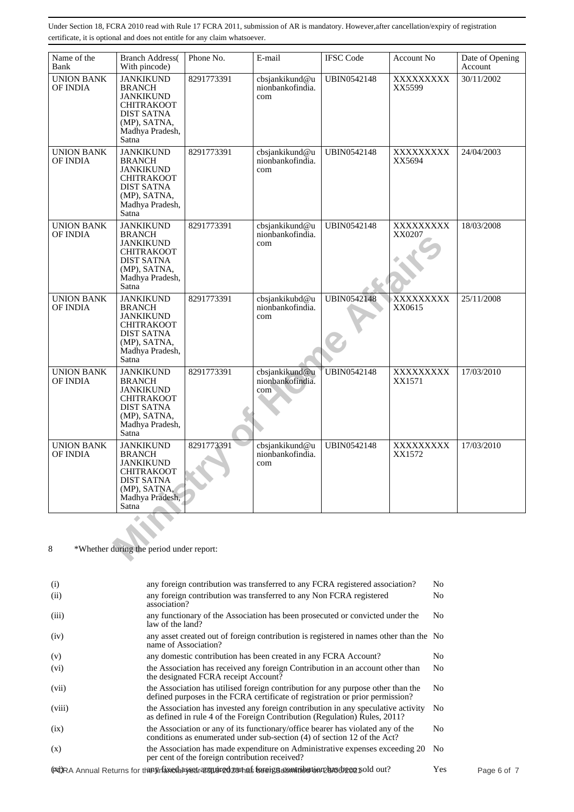| Name of the<br>Bank                  | <b>Branch Address</b> (<br>With pincode)                                                                                                                 | Phone No.  | E-mail                                    | <b>IFSC Code</b>   | Account No          | Date of Opening<br>Account |
|--------------------------------------|----------------------------------------------------------------------------------------------------------------------------------------------------------|------------|-------------------------------------------|--------------------|---------------------|----------------------------|
| <b>UNION BANK</b><br>OF INDIA        | <b>JANKIKUND</b><br><b>BRANCH</b><br><b>JANKIKUND</b><br><b>CHITRAKOOT</b><br><b>DIST SATNA</b><br>(MP), SATNA,<br>Madhya Pradesh,<br>Satna              | 8291773391 | cbsjankikund@u<br>nionbankofindia.<br>com | <b>UBIN0542148</b> | XXXXXXXXX<br>XX5599 | 30/11/2002                 |
| <b>UNION BANK</b><br>OF INDIA        | <b>JANKIKUND</b><br><b>BRANCH</b><br><b>JANKIKUND</b><br><b>CHITRAKOOT</b><br><b>DIST SATNA</b><br>(MP), SATNA,<br>Madhya Pradesh,<br>Satna <sup>1</sup> | 8291773391 | cbsjankikund@u<br>nionbankofindia.<br>com | <b>UBIN0542148</b> | XXXXXXXXX<br>XX5694 | 24/04/2003                 |
| <b>UNION BANK</b><br><b>OF INDIA</b> | <b>JANKIKUND</b><br><b>BRANCH</b><br><b>JANKIKUND</b><br><b>CHITRAKOOT</b><br><b>DIST SATNA</b><br>(MP), SATNA,<br>Madhya Pradesh,<br>Satna              | 8291773391 | cbsjankikund@u<br>nionbankofindia.<br>com | <b>UBIN0542148</b> | XXXXXXXXX<br>XX0207 | 18/03/2008                 |
| <b>UNION BANK</b><br><b>OF INDIA</b> | <b>JANKIKUND</b><br><b>BRANCH</b><br><b>JANKIKUND</b><br><b>CHITRAKOOT</b><br><b>DIST SATNA</b><br>(MP), SATNA,<br>Madhya Pradesh,<br>Satna              | 8291773391 | cbsjankikubd@u<br>nionbankofindia.<br>com | <b>UBIN0542148</b> | XXXXXXXXX<br>XX0615 | 25/11/2008                 |
| <b>UNION BANK</b><br>OF INDIA        | <b>JANKIKUND</b><br><b>BRANCH</b><br><b>JANKIKUND</b><br><b>CHITRAKOOT</b><br><b>DIST SATNA</b><br>(MP), SATNA,<br>Madhya Pradesh,<br>Satna              | 8291773391 | cbsjankikund@u<br>nionbankofindia.<br>com | UBIN0542148        | XXXXXXXXX<br>XX1571 | 17/03/2010                 |
| <b>UNION BANK</b><br><b>OF INDIA</b> | <b>JANKIKUND</b><br><b>BRANCH</b><br><b>JANKIKUND</b><br><b>CHITRAKOOT</b><br><b>DIST SATNA</b><br>(MP), SATNA,<br>Madhya Pradesh,<br>Satna              | 8291773391 | cbsjankikund@u<br>nionbankofindia.<br>com | UBIN0542148        | XXXXXXXXX<br>XX1572 | 17/03/2010                 |
| 8                                    | *Whether during the period under report:                                                                                                                 |            |                                           |                    |                     |                            |

| (i)     | any foreign contribution was transferred to any FCRA registered association?                                                                                      | No             |
|---------|-------------------------------------------------------------------------------------------------------------------------------------------------------------------|----------------|
| (ii)    | any foreign contribution was transferred to any Non FCRA registered<br>association?                                                                               | No             |
| (iii)   | any functionary of the Association has been prosecuted or convicted under the<br>law of the land?                                                                 | No             |
| (iv)    | any asset created out of foreign contribution is registered in names other than the No<br>name of Association?                                                    |                |
| (v)     | any domestic contribution has been created in any FCRA Account?                                                                                                   | No             |
| $(v_i)$ | the Association has received any foreign Contribution in an account other than<br>the designated FCRA receipt Account?                                            | No             |
| (vii)   | the Association has utilised foreign contribution for any purpose other than the<br>defined purposes in the FCRA certificate of registration or prior permission? | No             |
| (viii)  | the Association has invested any foreign contribution in any speculative activity<br>as defined in rule 4 of the Foreign Contribution (Regulation) Rules, 2011?   | N <sub>0</sub> |
| (ix)    | the Association or any of its functionary/office bearer has violated any of the<br>conditions as enumerated under sub-section (4) of section 12 of the Act?       | No             |
| (x)     | the Association has made expenditure on Administrative expenses exceeding 20<br>per cent of the foreign contribution received?                                    | No.            |
|         | (FORA Annual Returns for the Wrfaneshasedragguared zothas foreign contribution phasodreap pold out?                                                               | Yes            |